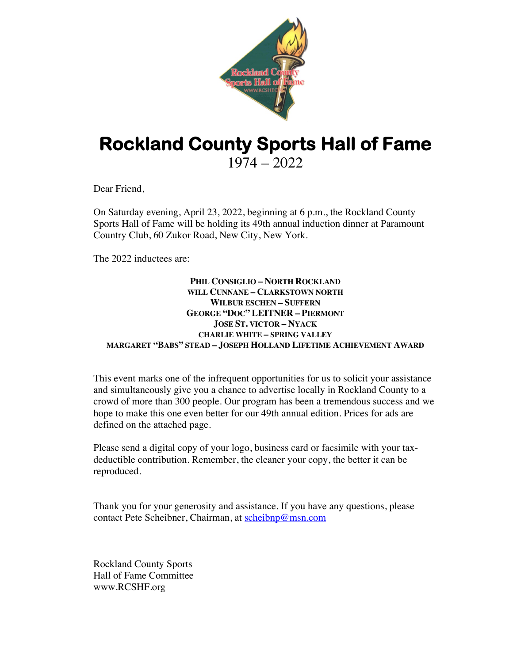

## **Rockland County Sports Hall of Fame** 1974 – 2022

Dear Friend,

On Saturday evening, April 23, 2022, beginning at 6 p.m., the Rockland County Sports Hall of Fame will be holding its 49th annual induction dinner at Paramount Country Club, 60 Zukor Road, New City, New York.

The 2022 inductees are:

## **PHIL CONSIGLIO – NORTH ROCKLAND WILL CUNNANE – CLARKSTOWN NORTH WILBUR ESCHEN – SUFFERN GEORGE "DOC" LEITNER – PIERMONT JOSE ST. VICTOR – NYACK CHARLIE WHITE – SPRING VALLEY MARGARET "BABS" STEAD – JOSEPH HOLLAND LIFETIME ACHIEVEMENT AWARD**

This event marks one of the infrequent opportunities for us to solicit your assistance and simultaneously give you a chance to advertise locally in Rockland County to a crowd of more than 300 people. Our program has been a tremendous success and we hope to make this one even better for our 49th annual edition. Prices for ads are defined on the attached page.

Please send a digital copy of your logo, business card or facsimile with your taxdeductible contribution. Remember, the cleaner your copy, the better it can be reproduced.

Thank you for your generosity and assistance. If you have any questions, please contact Pete Scheibner, Chairman, at scheibnp@msn.com

Rockland County Sports Hall of Fame Committee www.RCSHF.org